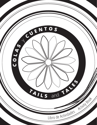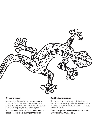

## **En la portada:**

Los colores, la comida, los animales y las personas, es lo que hace que la cultura de Nuevo México sea tan única. ¿Cómo representarías la cultura de Nuevo México? Usa colores, patrones y dibujos para completar y dar vida a nuestro logotipo.

**Por favor, comparte tus creaciones con nosotros en las redes sociales con el hashtag #DCAEducates.**

### **On the front cover:**

The colors, food, animals, and people — that's what makes New Mexico's culture so unique. What does New Mexico culture look like to you? Use colors, patterns, and drawings to fill in and bring our logo to life.

**Please share your creations with us on social media with the hashtag #DCAEducates.**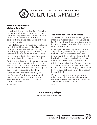

### **Libro de Actividades: ¡Colas y Cuentos!**

El Departamento de Asuntos Culturales de Nuevo México (DCA, por sus siglas en inglés) preserva y celebra la herencia cultural increíblemente rica y diversa de Nuevo México. Los educadores de catorce de nuestras divisiones están uniendo fuerzas para ofrecer actividades en las artes, la ciencia, la historia y la cultura con este libro interactivo.

¡Explore! ¡Participe! ¡Juegue! Escuche las preguntas que los niños hacen mientras participan en estas actividades. Estas preguntas pueden generar nuevas oportunidades para conectarse y aprender. ¡El juego dirigido por niños es una manera maravillosa y efectiva de aprender! Las personas más jóvenes de nuestras familias tienen perspectivas increíbles que pueden llevarnos a direcciones creativas, curiosas y tremendamente divertidas.

En este libro hay una lista y un mapa de los maravillosos museos estatales, sitios históricos e instituciones culturales de Nuevo México. Si tiene acceso a Internet, le recomendamos que explore algunos de los muchos programas creativos y educativos que han creado para usted y que están disponibles en línea.

Esperamos que este libro de actividades contribuya a su diversión de verano. Y cuando pueda, esperamos que visite algunas de nuestras ubicaciones en todo el estado para aprender aún más sobre Nuevo México y lo que nos hace especiales y maravillosos.

**Activity Book: Tails and Tales!**

The New Mexico Department of Cultural Affairs (DCA) preserves and celebrates the incredibly rich and diverse cultural heritage of New Mexico. Educators from fourteen of our divisions are joining forces to bring you activities in arts, science, history, and culture with this interactive booklet.

Explore! Engage! Play! Listen to the questions that children are asking as they engage in these activities. These questions can lead to new opportunities to connect and learn. Child-led play is a wonderful and effective way to learn! The youngest people in our families have amazing perspectives that can lead us all in directions that are creative, curious, and tremendously fun.

In this booklet there is a list and map of New Mexico's wonderful State museums, historic sites, and cultural institutions. If you have access to the Internet, we encourage you to explore some of the many creative and educational programs they have created for you available online.

We hope this activity book contributes to your summer fun. And when you are able to, we hope you will visit some of our locations around the state to learn even more about New Mexico and what makes us special and wonderful!

Sinceramente,

## **Debra Garcia y Griego**

Sincerely,

Secretary, Department of Cultural Affairs

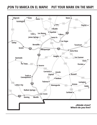# **¡PON TU MARCA EN EL MAPA! PUT YOUR MARK ON THE MAP!**

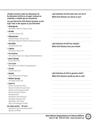| ¿Puedes encontrar todas las ubicaciones de<br>las divisiones de DCA en el mapa? ¡Colorea los<br>cuadrados a medida que los encuentres! | ¿Qué divisiones de DCA están más cerca de ti?<br>Which DCA divisions are closest to you? |
|----------------------------------------------------------------------------------------------------------------------------------------|------------------------------------------------------------------------------------------|
| Can you find all the DCA division locations on the<br>map? Color in the squares as you find them!                                      |                                                                                          |
| $\Box$ Alamogordo                                                                                                                      |                                                                                          |
| New Mexico Museum of Space History                                                                                                     |                                                                                          |
| $\square$ Alcalde<br>Los Luceros Historic Site                                                                                         |                                                                                          |
| □ Albuquerque<br>National Hispanic Cultural Center<br>New Mexico Museum of Natural History and Science                                 |                                                                                          |
| $\square$ Bernalillo<br>Coronado Historic Site                                                                                         | ¿Qué divisiones de DCA has visitado?                                                     |
| $\Box$ Capitan                                                                                                                         | Which DCA divisions have you visited?                                                    |
| Fort Stanton Historic Site                                                                                                             |                                                                                          |
| □ Fort Sumner                                                                                                                          |                                                                                          |
| Fort Sumner Historic Site / Bosque Redondo Memorial                                                                                    |                                                                                          |
| □ Jemez Springs<br>Jemez Historic Site                                                                                                 |                                                                                          |
| □ Las Cruces                                                                                                                           |                                                                                          |
| New Mexico Farm & Ranch Heritage Museum                                                                                                |                                                                                          |
| $\square$ Lincoln                                                                                                                      |                                                                                          |
| Lincoln Historic Site                                                                                                                  |                                                                                          |
| $\square$ Mesilla                                                                                                                      | ¿Qué divisiones de DCA te gustaría visitar?                                              |
| Taylor-Mesilla Historic Property                                                                                                       | Which DCA divisions would you like to visit?                                             |
| <b>□ Radium Springs</b><br>Fort Selden Historic Site                                                                                   |                                                                                          |
| $\square$ Santa Fe                                                                                                                     |                                                                                          |
| <b>Historic Preservation Division</b>                                                                                                  |                                                                                          |
| Museum of Indian Arts and Culture                                                                                                      |                                                                                          |
| Museum of International Folk Art                                                                                                       |                                                                                          |
| Museum Resources Division                                                                                                              |                                                                                          |
| New Mexico Arts                                                                                                                        |                                                                                          |
| New Mexico History Museum<br>New Mexico Museum of Art                                                                                  |                                                                                          |
| New Mexico State Library                                                                                                               |                                                                                          |
| Office of Archaeological Studies                                                                                                       |                                                                                          |
| ¡En todas partes! All over!                                                                                                            |                                                                                          |
| New Mexico State Library Bookmobiles<br>Wonders on Wheels                                                                              |                                                                                          |

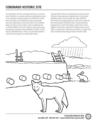Coronado Historic Site tiene una larga historia que se remonta a más de 2000 años. Los nativos americanos originalmente vinieron a cazar animales y recolectar plantas en el valle del Río Grande. Para el año 600 EC, estos habitantes estaban construyendo casas semi-subterraneas en las terrazas sobre el río y cultivaron abajo en la llanura aluvial. A ellos se unieron inmigrantes del sur de Nuevo México y las Cuatro Esquinas. Juntos, estos grupos construyeron el pueblo de Kuaua alrededor de 1300 EC. Creció a más de 1,000 habitaciones y 10 kivas. Una sociedad multiétnica única floreció a lo largo de las orillas del Río Grande.

Coronado Historic Site has a long history that reaches back over 2,000 years. Native Americans originally came to hunt animals and gather plants in the Río Grande river valley. By 600 CE, these settlers were building pithouses on the terraces above the river and farming the flood plain below. They were joined by immigrants from southern New Mexico and the Four Corners. Together, these groups constructed the village of Kuaua around 1300 CE. It grew to over 1,000 rooms and 10 kivas. A unique multiethnic society flourished along the banks of the Rio Grande.



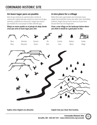### **Un buen lugar para un pueblo**

Antes de que existieran los supermercados y tiendas de construcción, la gente tenía que construir sus casas cerca de agua, alimentos y materiales de construcción. Imagina que tuvieras que mudarte de tu casa porque no había suficiente agua.

#### **Dibuja un nuevo pueblo en el paisaje de abajo donde creas que sería un buen lugar para vivir.**

## **A nice place for a village**

Before there were supermarkets and construction stores, people had to build their homes near water, food, and building materials. Imagine that you had to move out of your home because there was not enough water.

**Draw a new village on the landscape below where you think it would be a good place to live.**



**Explica cómo elegiste esa ubicación. Explain how you chose that location.**

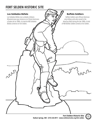# **FORT SELDEN HISTORIC SITE**

**Los Soldados Búfalo**

Búfalos sirvieron en Fort Selden.

150M

Los Soldados Búfalo eran unidades militares

Afroamericanas que sirvieron en el Oeste Americano a finales de los 1800s. Un total de 400 Soldados

## **Buffalo Soldiers**

Buffalo Soldiers were African-Americanonly military units who served in the American West during the late 1800s. A total of 400 Buffalo Soldiers served at Fort Selden.

**Fort Selden Historic Site Radium Springs, NM · (575) 526-8911 · www.nmhistoricsites.org/fort-selden**

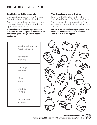## **Los Deberes del Intendente**

Uno de los Soldados Búfalo que sirvió en Fort Selden fue el Sargento Richard Anderson, el Sargento de Intendencia.

Algunas de sus responsabilidades eran administrar los registros del puesto, distribuir dinero y el mantenimiento de todo el equipo y suministros en el puesto.

#### **Practica el mantenimiento de registros como el intendente del puesto. Registre el número de cada artículo que aparece y luego coloree todos los suministros.**

## **The Quartermaster's Duties**

One of the Buffalo Soldiers who served at Fort Selden was Sergeant Richard Anderson, the Post Quartermaster Sergeant.

Some of his responsibilities were managing the post's records, the distribution of money, and keeping track of all the equipment at the post.

**Practice record keeping like the post quartermaster. Record the number of each item listed below. Then color in all of the supplies.**

| Vainas de mesquite para el café<br>Mesquite pods for coffee |  |  |
|-------------------------------------------------------------|--|--|
| Sacos de dormir<br>Sleeping bags                            |  |  |
| Cantina de agua<br>Water canteens                           |  |  |
| Brújulas<br>Compasses                                       |  |  |
| Barras de jabón<br>Bars of soap                             |  |  |
| Utensilios de cocina<br>Kitchen utensils                    |  |  |



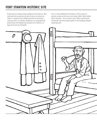# **FORT STANTON HISTORIC SITE**

El ejército de los Estados Unidos estableció Fort Stanton en 1855 como parte de una promesa de abrir el área a los colonos no nativos. La mayoría de los soldados dormían en barracones, cuatro por litera. Los oficiales subalternos y el comandante del puesto tenían más habitaciones privadas en los edificios a lo largo de los terrenos del desfile.

The U.S. Army established Fort Stanton in 1855 as part of a promise to open up the area to non-native settlers. Most soldiers slept in barracks – four to a bunk. Junior officers and the post's commander had more private quarters in the buildings along the parade grounds.

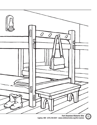

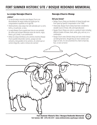## **La oveja Navajo-Churro**

### **¿Sabías?**

- La raza de ovejas conocida como Navajo-Churro son descendientes de ovejas traídas de España por los conquistadores españoles en el siglo XVI.
- Históricamente, estas ovejas han sido valoradas por su carne, leche y, en particular, su lana.
- La oveja Navajo-Churro puede tener lana en una variedad de colores que incluyen diferentes tonos de marrón, negro, blanco, gris y óxido, o una combinación.
- Ambas las ovejas (hembras) y los carneros (machos) Navajo-Churro pueden desarrollar cuernos, aunque son más comunes y más grandes en los carneros. ¡Es común que un carnero tenga dos, cuatro o incluso seis cuernos!

## **Navajo-Churro Sheep**

### **Did you know?**

- Navajo-Churro Sheep are decedents of sheep brought over from Spain by Spanish Conquistadors in the 1500s.
- Historically, Navajo-Churro sheep have been considered a valuable source of meat, milk, and especially wool.
- Navajo-Churro Sheep can come in a variety of colors including different shades of brown, black, white, grey, and rust, or a combination.
- Navajo-Churro ewes (female sheep) and rams (male sheep) can both grow horns, though they are more common and larger on rams. It is not uncommon for a Ram to have two, four, or even six horns!



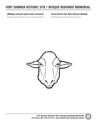# **FORT SUMNER HISTORIC SITE / BOSQUE REDONDO MEMORIAL**

### **¡Dibuja cuernos para este carnero!**

Recuerda, ¡pueden tener dos, cuatro o incluso seis cuernos!

## **Draw horns for this Churro Sheep!**

Remember, they can have two, four, or even six!



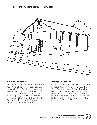# **HISTORIC PRESERVATION DIVISION**



## **Phillips Chapel CME**

Se construyó en 1911, justo un año antes de la estadidad de Nuevo México. Es la iglesia afroamericana más antigua de Las Cruces. De 1924 a 1934 sirvió como escuela para niños afroamericanos cuando nueve condados de Nuevo México segregaban a los estudiantes por raza. Una iglesia cristiana, metodista y episcopal, que todavía ofrece servicios y fue restaurada en el 2010 a 2016 por voluntarios y estudiantes. Fue incluida en el Registro Estatal de Bienes Culturales y en el Registro Nacional de Lugares Históricos en 2003.

## **Phillips Chapel CME**

was built in 1911, just one year prior to New Mexico's statehood. It is the oldest African-American Church in Las Cruces. From 1924 to 1934 it served as a school for Black children when nine New Mexico counties segregated students by race. A Christian, Methodist and Episcopalian church, it still holds services and was restored from 2010 to 2016 by volunteers and students. It was listed in the State Register of Cultural Properties and National Register of Historic Places in 2003.

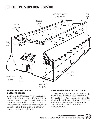# **HISTORIC PRESERVATION DIVISION**



### **Estilos arquitectónicos de Nuevo México**

Esta página muestra detalles arquitectónicos que se encuentran en muchos edificios en todo el estado. Estos elementos son más comunes en los estilos Pueblo Revival y Mission Revival. Es poco probable que cualquier edificio muestre todos los elementos de diseño que se encuentran en esta casa. Muchas casas y edificios terminados alrededor de la época de la estadidad muestran algunos de estos elementos arquitectónicos.

## **New Mexico Architectural styles**

This page shows architectural details found on many buildings throughout the state. These elements are more common to the Pueblo Revival and Mission Revival styles. It is unlikely that any one building would display all of the design elements found on the home here. Many homes and buildngs completed around the time of statehood showed some of these architectural elements.

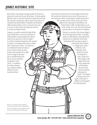# **JEMEZ HISTORIC SITE**

Jemez Historic Site protege el antiguo pueblo de Gisewa y la iglesia de la misión de San José de los Jemez. En Jemez puedes aprender sobre la cultura de la gente de Gisewa (pronunciado GEE-say-wah) y el papel que jugó la misión franciscana en la colonización de Nuevo México, la Rebelión del Pueblo de 1680 y de Nuevo México como lo conocemos hoy. Este es uno de los sitios mejor conservado que verás en el suroeste de Estados Unidos.

Gisewa es un pueblo ancestral del siglo XIV del actual Pueblo Jemez, una nación soberana de 3.400 miembros, aproximadamente el 60 por ciento de los cuales vive en tierras tribales. Su nombre completo Gisewatowa (GEE-say-wahtuu-wah), es una palabra Jemez que se traduce como "Pueblo por el Azufre," una referencia a la multitud de fuentes termales en el área. Durante cientos de años, Gisewa y otros pueblos de la región fueron el hogar de personas que se autodenominan Heemeesh, que los españoles interpretaron como "Jemez." Los aldeanos de Gisewa cultivaron maíz, calabaza y frijoles; además de cazar y recolectar hierbas.

Basado en una fotografía de Marlon Magdalena, un artista nativo, educador y músico de Jemez Pueblo.

Based on a photograph of Marlon Magdalena, a Native artist, educator, and musician from Jemez Pueblo.

Jemez Historic Site protects the ancient village of Gisewa and the San José de los Jemez mission church. At Jemez you can learn about the culture of the people of Gisewa (pronounced

GEE-say-wah) and the role the Franciscan mission played in the colonization of New Mexico, the Pueblo Revolt of 1680, and New Mexico as we know it today. This is one of the best-preserved sites you will see in the American Southwest.

> Gisewa is an ancestral 14th century village of the present-day Jemez Pueblo, a sovereign nation of 3,400 members, about 60 percent of whom live on tribal land. Its full name Gisewatowa (GEE-say-wah-tuu-wah), is a Jemez word that translates

to "Village by the Sulfur," a reference to the multitudes of hot springs in the area. For hundreds of years, Gisewa and other villages in the region were home to the people who call themselves the Hee-meesh, which the Spanish, interpreted as "Jemez." The villagers of Gisewa raised corn, squash, and beans; in addition to hunting game and collecting herbs.

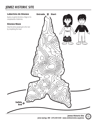# **JEMEZ HISTORIC SITE**

### **Laberinto de Gisewa**

completando el laberinto.

## **Gisewa Maze**

Help the Jemez people get to the river by completing the maze



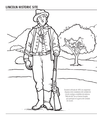# **LINCOLN HISTORIC SITE**

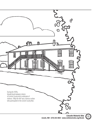

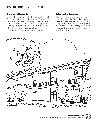## **Colorea la Hacienda**

Esta es una hacienda o gran casa ubicada en Los en Los Luceros Historic Site en Alcalde, NM. La casa probablemente comenzó como una casa de campo de la gente Tewa, y fue utilizada por los agricultores que cuidaban los cultivos plantados cerca del río. Cuando llegaron Los Españoles, la construyeron más grande. A lo largo de los siglos, el edificio ha sido expandido poco a poco, habitación por habitación. Muchos cuentos han sido contados dentro de sus paredes.

## **Color in the Hacienda**

This is a *hacienda* or grand house located at Los Luceros Historic Site in Alcalde, NM. The home likely began as a Tewa field house that was used by farmers tending to crops planted near the river. It was then built upon when the Spanish arrived. Over the centuries, the building has been slowly added to, room by room. Many tales have been told within its walls.



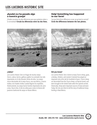### **¡Ayuda! ¡Le ha pasado algo a nuestra granja!**

¿Puedes encontrar las diez diferencias para que podamos volver a la normalidad? **Circula las diferencias entre las dos fotos.**



### **¿Sabías?**

¡Los Luceros Historic Site es el hogar de muchas ovejaschurro, cabras, burros, gallinas y gallos! Los animales han sido importantes en el sitio durante cientos de años. Las ovejaschurro descienden de la oveja churra, una raza ibérica, y fueron traídas a los Estados Unidos cuando llegaron los españoles. Históricamente, las ovejas fueron fuentes importantes de carne y lana. Hoy en día, el sitio las utiliza para contar la historia del pastoreo tradicional de ovejas en Nuevo México.

### **Help! Something has happened to our farm!**

Can you find all ten differences so we can go back to normal? **Circle the differences between the two photos.**



## **Did you know?**

Los Luceros Historic Site is home to many Churro sheep, goats, a donkey, chickens, and roosters! Livestock has played an important role at the site for hundreds of years. Churro sheep are descended from the Churra sheep, an Iberian breed, and were brought to the United States when the Spanish arrived. Historically, sheep were important sources of meat and wool. Today, the site uses them to tell the story of traditional sheep herding in New Mexico.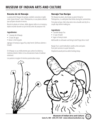## **Receta de té Navajo**

La planta del té Navajo (té pampa), también conocida en inglés como "green thread", cota o Thelesperma, es una planta silvestre que prospera durante el verano.

Recorte la planta en la base, doble algunos tallos en un manojo y dejelo secando durante un par de días antes de preparar el té.

### **Ingredientes:**

- **•** 1 manojo de té Navajo
- **•** 12 tazas de agua
- **•** Azúcar o miel al gusto

¡Agregue el manojo al agua fría y deje hervir! ¡Disfruta caliente o helado!

El té Navajo se usa médicamente para calmar los dolores y molestias desde el dolor en las articulaciones hasta el malestar estomacal.

Los pastores recogían té mientras pastoreaban ovejas.

## **Navajo Tea Recipe**

The Navajo tea plant, also known as green thread or Thelesperma, is a wild plant that thrives during the summertime.

Trim plant at base, fold a few stems into a bundle and dry for a couple days before making tea.

### **Ingredients:**

- **•** 1 bundle Navajo Tea
- **•** 12 cups of water
- **•** Sugar or honey to taste

Add bundle to cold water and bring to boil! Enjoy Hot or Iced!

Navajo Tea is used medically to soothe aches and pains from joint soreness to upset stomachs.

Shepherds would pick tea while herding sheep.

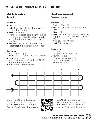## **¡Tejido de carton!**

**Técnica:** tejido liso

### **Materiales:**

- **Cartón:** 3" W × 10"H
- **Regla:** Marque líneas de ½" cada centímetro en la parte superior e inferior (11 cortes)
- **Tijera:** corte hendiduras
- **Cuerda:** Deje una cola de diez pulgadas al principio y al final de la cuerda. Envuelva hacia arriba, hacia abajo y alrededor, entre cada hendidura. Cuente 8 cuerdas. Ate las colas detrás del cartón.
- **Lana:** Ate el extremo de la lana a la primera urdimbre
- **Tenedor de plástico:** para empujar la lana hacia abajo

## **Instrucciones:**

- **1** Primero los números impares. Precione la lana hacia abajo de 1, 3, 5, 7 yendo a la DERECHA.
- **2** Números pares, al revés. Enhebre la lana debajo de 8, 6, 4, 2 yendo a la IZQUIERDA.
- **3** Continúe hasta que termine de tejer.
- **4** Empuje la lana hacia abajo con el tenedor.

## **Cardboard Weaving!**

**Technique:** plain weave

### **Materials:**

- **Cardboard:** 3" W × 10" H
- **Ruler:** mark ½" lines every centimeter at top & bottom (11 cuts)
- **Scissor:** cut slits
- **String:** Leave a ten-inch tail at beginning and end of string. Wrap up, down and around, between each slit. Count 8 strings. Tie tails behind cardboard.
- **Yarn:** Tie end of yarn on to warp #1
- **Plastic fork:** pack down yarn

## **Instructions:**

- **1** Odd numbers first. Thread yarn under 1, 3, 5, 7 going RIGHT.
- **2** Even numbers, reverse. Thread yarn under 8, 6, 4, 2 going LEFT.
- **3** Continue until your weaving is finished.
- **4** Pack down yarn with fork.



Escanee el código QR para ver demostraciones de tejido y otras artes nativas en el canal de YouTube del Museum of Indian Arts and Culture. Síguenos en TikTok & Instagram: @indianartsculture



Scan the QR code here to see demonstrations of weaving and other Native arts on the Museum of Indian Arts and Culture's YouTube channel.

Follow us on TikTok & Instagram: @indianartsculture

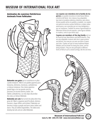# **MUSEUM OF INTERNATIONAL FOLK ART**

### **Animales de cuentos folclóricos Animals from folktales**



#### **Los coyotes son miembros de la familia de los**

**perros** y se pueden encontrar en todo Nuevo México y América del Norte. Son criaturas muy adaptables que viven en praderas abiertas y desiertos, pero ahora incluso puedes verlos en pueblos y ciudades. Los coyotes son parte de muchos cuentos folclóricos o relatos nativo americanos y son conocidos por ser muy inteligentes y por ser tramposos. También los vemos representados en diferentes formas de arte popular, como figuras talladas en madera, como la que vemos aquí.

**Coyotes are members of the dog family** and can be found all over New Mexico and North America. They are very adaptable creatures who live in open prairies and deserts, but now you can even see them in towns and cities. Coyotes are part of many traditional Native folktales and are known for being very clever, and for being tricksters. They are also portrayed in different forms of folk art such as wood carvings, like the one here.

**Bakeneko son gatos** que se convirtieron en yōkai cuando envejecen. *Yōkai* es una palabra japonesa para fantasmas, demonios, monstruos, cambiaformas y criaturas tramposas. Esta criatura japonesa puede llegar a ser tan grande como las personas y le encanta vestirse y bailar. Son hábiles cambiaformas. Los más viejos desarrollan dos colas y se llaman *Nekomata*.

**Bakeneko are cats** that turned into yōkai when they grew old. *Yōkai* is a Japanese word for ghosts, demons, monsters, shape shifters and tricksters. Bakeneko can become as large as people and love to wear clothes and dance. They are skilled shapeshifters. The oldest ones develop two tails and are called *Nekomata*.

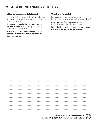# **MUSEUM OF INTERNATIONAL FOLK ART**

### **¿Qué es un cuento folclórico?**

Los cuentos folclóricos o relatos son historias que se transmiten verbalmente de generación en generación. ¿Has escuchado un cuento folclórico antes?

**Pregúntale a un adulto si conoce algún cuento folclórico o relato.** Si es así, pídale que compartan uno contigo y ¡escucha atentamente!

**Escribe lo que sucedió en la historia o dibuja al personaje principal de la historia en el espacio de a continuación.**

## **What is a folktale?**

Folktales are stories that are passed down verbally from generation to generation. Have you heard a folktale before?

### **Ask a grown-up if they know any folktales.**

If so, ask them to share one with you and listen carefully!

**Write what happened in the story or draw the main character in the story in the space below.**

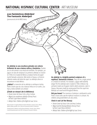# **NATIONAL HISPANIC CULTURAL CENTER** · ART MUSEUM



jaguar con alas de mariposa! Los primeros alebrijes se crearon en 1936 en la Ciudad de México y estaban hechos de papel maché llamado cartonería. Más tarde en Oaxaca, se hicieron tallando madera del árbol de copal. Los alebrijes ahora se encuentran en todo México.

**¿Sabías?** La invención de los alebrijes se atribuye al artista Pedro Linares que vio a las criaturas míticas en un sueño. ¡Sus hijos y nietos también son artistas!

### **¡Échale un vistazo! (de la biblioteca)**

- *Dream Carver* de Diana Cohn y Amy Cordova
- *Miguel y los asombrosos alebrijes* (Disney Pixar) de Roni Capin Rivera-Ashford
- *Alebrije Tales: Children of the Night* de Isaac Serna

Dibujo basado en la lagartija Alebrije de Antonio Mandarin. Arrazola, Oaxaca, México. Madera tallada y pintada, sisal. Colección Permanente del NHCC Art Museum.

Drawing based on Alebrije Lizard by Antonio Mandarin. Arrazola, Oaxaca, México. Carved and painted wood, sisal. NHCC Art Museum Permanent Collection.

**An alebrije is a brightly painted sculpture of a mythical, fantastical creature.** They can be a single animal or a mixture of animals. For example, a jaguar with butterfly wings! The first alebrijes were created in 1936 in Mexico City and were made out of papier-mâché called cartonería. Later in Oaxaca, they were made by carving wood from the copal tree. Alebrijes are now found throughout Mexico.

**Did you know?** The invention of alebrijes is attributed to artist Pedro Linares who saw the mythical creatures in a dream. His children and grandchildren are also artists.

### **Check it out! (of the library)**

- *Dream Carver* by Diana Cohn and Amy Cordova
- *Miguel and the Amazing Alebrijes* (Disney Pixar) by Roni Capin Rivera-Ashford
- *Alebrije Tales: Children of the Nigh*t by Isaac Serna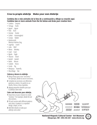## **Crea tu propio alebrije Make your own Alebrije**

**Combina dos o más animales de la lista de a continuación y dibuje su creación aquí. Combine two or more animals from the list below and draw your creation here.**

- Culebra Serpent
- Tortuga Turtle
- Jaguar Jaguar
- Pato Duck
- Ocelote Ocelot
- Colibrí Hummingbird
- Conejo Rabbit
- Xoloitzcuintli Mexican Hairless Dog
- Lagartija Lizard
- Lobo Wolf
- Mono Monkey
- Coatí Coati
- Águila Eagle
- Tiburon Shark
- Axolotl Axolotl
- Ratón Mouse
- Caballo Horse
- Cerdo Pig
- Mariposa Butterfly
- Murciélago Bat

## **Colorea y decora tu alebrije.**

- **1** Dibuja líneas para crear "secciones." Por ejemplo, divide la cola en secciones.
- **2** Completa las secciones con diferentes patrones y colores. Un patrón es un diseño, forma o línea repetidos.
- **3** ¡Agrega pequeños detalles para que tu alebrije cobre vida!

### **Color and decorate your alebrije.**

- **1** Draw lines on your creature to create "sections." For example, divide the tail into sections.
- **2** Fill each section with different patterns and colors. A pattern is a repeated design, shape, or line.
- **3** Add little details to make your alebrije come alive!



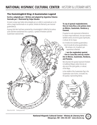## **The Hummingbird King: A Guatemalan Legend**

### **Escrito y adaptado por / Written and adapted by Argentina Palacios Ilustrado por / Illustrated by Felipe Dávalos**

Un joven cacique que había sido protegido por un colibrí es asesinado por su tío celoso y luego transformado en un quetzal, símbolo de libertad (y ave nacional guatemalteca).

A young chief who had been protected by a hummingbird is killed by his jealous uncle and then transformed into a quetzal, a symbol of freedom (and the Guatemalan national bird).

#### **Yo soy el quetzal resplandeciente. Vivo en Costa Rica y mis primos viven en México, Guatemala, Honduras y Panamá.**

El quetzal no solo representa la libertad en la cultura maya tradicional, sino que nosotros también somos uno de los guías espirituales, o nahual, de los mayas.

En el medio de la bandera guatemalteca está el escudo de armas guatemalteco. Me incluye a mí, el quetzal, que representa la libertad.

#### **I am the resplendent quetzal. I live in Costa Rica and my cousins live in Mexico, Guatemala, Honduras, and Panama.**

Not only does the quetzal represent freedom in traditional Mayan culture but we are also one of the spirit guides, or nahual, of the Maya.

In the middle of the Guatemalan flag is the Guatemalan coat of arms. It includes me, the quetzal, representing liberty.





Dibujo de Jan Brett. Drawing by Jan Brett.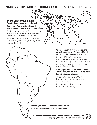# **NATIONAL HISPANIC CULTURAL CENTER** · HISTORY & LITERARY ARTS

### **In the Land of the Jaguar: South America and Its People**

#### **Escrito por / Written by Gena K. Gorrell Ilustrado por / Illustrated by Andrej Krystoforski**

Este libro cuenta la historia de América del Sur. Su historia es tan variada como su geografía de montañas elevadas, desiertos abrasadores y exuberantes selvas tropicales.

This book tells the story of South America. Its story is as varied as its geography of soaring mountains, scorching deserts, and lush rainforests.





#### **Yo soy un jaguar. Mi familia es originaria de América del Norte y América del Sur. Hoy vivimos principalmente en la selva amazónica.**

El jaguar es el felino más grande del hemisferio occidental. A diferencia de la mayoría de los gatos, los jaguares aman el agua. Somos excelentes nadadores.

Para los mayas de México y Centroamérica, el jaguar dominaba la noche selvática.

#### **I am a jaguar. My family is native to North America and South America. Today we mostly live in the Amazon rainforest.**

The jaguar is the biggest cat in the Western hemisphere. Unlike most cats, jaguars love water. We are excellent swimmers.

For the Mayans of Mexico and Central America, the jaguar ruled the jungle night.

**Etiqueta y colorea los 12 países de América del Sur. Label and color the 12 countries of South America.**

**National Hispanic Cultural Center · History & Literary Arts Albuquerque, NM · (505) 246-2261 · www.nhccnm.org**

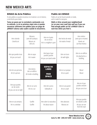## **BINGO de Arte Público**

El arte público se puede encontrar en el exterior o en el interior, y está hecho para todos.

**Toma un paseo por tu vecindario caminando o en tu vehículo, (o en tu próximo viaje) mira si puedes encontrar suficiente arte público para un juego de ¡BINGO! Colorea cada cuadro cuando lo encuentres.**

### **Public Art BINGO**

Public art can be found outside or inside, and is made for everyone.

**Walk or drive around your neighborhood (or on your next road trip) and see if you can find enough public art for a BINGO! Color in each box when you find it.**

| Arte colorido<br>Colorful art                               | Mosaico<br>(arte del azulejos)<br>Mosaic art<br>(tile art) | Arte en el patio<br>de un vecino<br>Art in a neighbor's yard  | Arte hecho de metal<br>Art made of metal | Arte cinético<br>(arte que se mueve)<br>Kinetic art<br>(art that moves)   |
|-------------------------------------------------------------|------------------------------------------------------------|---------------------------------------------------------------|------------------------------------------|---------------------------------------------------------------------------|
| Arte que puedes tocar<br>Art you can touch                  | Arte en aqua<br>Art in water                               | Arte bajo el que<br>puedes pararte<br>Art you can stand under | Arte con luces<br>Art with lights        | Arte en un edificio<br>Art attached to a<br>building                      |
| Arte de una persona<br>Art of a person                      | Arte dentro<br>den un edificio<br>Art inside a building    | <b>ESPACIO</b><br><b>LIBRE</b><br><b>FREE</b><br><b>SPACE</b> | Arte en un parque<br>Art at a park       | Mural<br>Mural                                                            |
| Arte que puedes<br>ver de noche<br>Art you can see at night | Arte en un carro<br>Art on a car                           | Arte de la acera<br>Sidewalk art                              | Arte en una pared<br>Art on a wall       | Arte en el que<br>puedes sentarte<br>Art you can sit on                   |
| Arte en una ventana<br>Art in a window                      | Graffiti<br>Graffiti                                       | Arte sobre la naturaleza<br>Art about nature                  | Arte abstracto<br>Abstract art           | Arte que puedes<br>ver desde la calle<br>Art you can see<br>from the road |

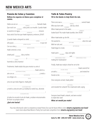### **Poesía de Colas y Cuentos**

**Rellena los espacios en blanco para completar el cuento.**

|                                                                                              |                                                     | (ANIM)                                                                                                        |
|----------------------------------------------------------------------------------------------|-----------------------------------------------------|---------------------------------------------------------------------------------------------------------------|
|                                                                                              | Que nació con  colas junto a un muelle. Cuando Hawk | Who was born with tails<br>(NUMBER)                                                                           |
| (NÚMERO)                                                                                     |                                                     | When Hawk peered in the water,                                                                                |
| hacia atrás! Esto hizo que Hawk tropezara y entonces ¡SPLAT!                                 |                                                     | looked back! This made Hawk stum                                                                              |
| Hawk comenzó a crear.                                                                        |                                                     | When Hawk woke up she felt<br>She wanted to<br><b>CART VER</b><br>With her tails and<br>Hawk began to create. |
| IHawk pasó  dias y noches<br>hacienda su obra maestra!                                       |                                                     | Hawk spent  days and nig<br>making her masterpiece!                                                           |
| Finalmente, Hawk estaba lista para mostrar su arte al                                        |                                                     | Finally, Hawk was ready to show he                                                                            |
| (SUSTANTIVO PLURAL)                                                                          |                                                     | friends to the<br>(PLAC                                                                                       |
| ¡Una vez que todas llegaron, Hawk gritó:                                                     |                                                     | Once everyone arrived, Hawk yelled                                                                            |
| y reveló su obra de arte! ¡La multitud se volvió loca, diciendo                              |                                                     | (ANYTHING)<br>and revealed her artwork! The crov                                                              |
| (CUALQUIER COSA)                                                                             |                                                     | (ANYTHING)<br>Everyone loved Hawk's artwork, and                                                              |
| ¡A todos les encantó el arte de Hawk, y estaban entusiasmados<br>de hacer sus propias obras! |                                                     | to make their own!<br>المتلحص برمند امارزمن بربطته المطالقا                                                   |
|                                                                                              |                                                     |                                                                                                               |

### **¿Qué arte harías?**

### **Tails & Tales Poetry Fill in the blanks to help finish the tale.**

| Who was born with $\ldots \ldots \ldots \ldots$ tails by a dock.      |
|-----------------------------------------------------------------------|
|                                                                       |
| looked back! This made Hawk stumble, then SPLAT!                      |
|                                                                       |
|                                                                       |
|                                                                       |
| Hawk began to create.                                                 |
| Hawk spent  days and nights                                           |
| making her masterpiece!                                               |
| Finally, Hawk was ready to show her art to the                        |
| Thawk covered her                                                     |
|                                                                       |
|                                                                       |
| Once everyone arrived, Hawk yelled:                                   |
| and revealed her artwork! The crowd went wild, saying                 |
|                                                                       |
| Everyone loved Hawk's artwork, and were excited<br>to make their own! |

**What art would you make?**

Para más información sobre la competencia estatal Poetry Out Loud de Nuevo México visite: **nmarts.org/poetry-out-loud/** Learn more about New Mexico's Poetry Out Loud state competition here: **nmarts.org/poetry-out-loud/**

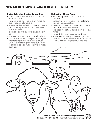# **NEW MEXICO FARM & RANCH HERITAGE MUSEUM**

### **Datos Sobre las Ovejas Debouillet**

- Las ovejas Debouillet se desarrollaron cerca de Tatum, NM en la década de 1920.
- Una oveja hembra se llama oveja, un cordero macho se llama carnero y una ovejita se llama cordero.
- Las ovejas tienen lana. Las frazadas, los calcetines, los suéteres y los sombreros se pueden hacer con lana y nos ayudan a mantenernos calientes.
- Las ovejas se esquilan y la lana se lava, se carda y se hila en hilo.
- Las ovejas son herbívoros y comen pasto, semillas y plantas.
- ¿Las ovejas tienen cola? Todas las ovejas nacen con cola, pero la mayoría de los granjeros las "descolan" o se las quitan cuando los corderos tienen aproximadamente una semana de edad. Las colas cortadas ayudan a prevenir problemas de salud futuros.

### **Debouillet Sheep Facts**

- Debouillet sheep were developed near Tatum, NM in the 1920s.
- A female sheep is called a ewe, a male sheep is called a ram, and a baby sheep is called a lamb.
- Sheep have wool. Blankets, socks, sweaters, and hats can be made from wool and help keep us warm.
- Sheep are sheared and the wool is washed, carded, and spun into yarn.
- Sheep are herbivores and eat grass, seeds, and plants.
- Do sheep have tails? All sheep are born with tails, but most farmers "dock" or remove them when the lambs are about one week old. Docked tails helps prevent future health issues.



**New Mexico Farm & Ranch Heritage Museum Las Cruces, NM · (575) 522.4100 · www.nmfarmandranchmuseum.org**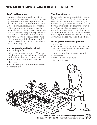### **Las Tres Hermanas**

Durante siglos, se han contado muchas historias sobre las legendarias Tres Hermanas. En cada cuento, las Tres Hermanas representan maíz, frijoles y calabaza. ¡A pesar de que cada hermana era tan diferente, se ayudaron mutuamente a crecer! El maíz actúa como un palo para que trepen las enredaderas del frijol. Las enredaderas del frijol mantienen a los tallos de maíz sujetados firmemente a la tierra para que no se caigan. Las plantas de calabaza tienen hojas grandes que protegen a todas las plantas y crean un área sombreada para mantener la tierra fresca y húmeda. La gente del pueblo Zuni de Nuevo México creó el *Latdekwi:we*, o el jardín de gofres, para cultivar a las Tres Hermanas. Gracias a ellos, sabemos cómo sembrar cultivos en nuestro clima seco con poca lluvia.

## **¡Haz tu propio jardín de gofres!**

- Excava para aflojar la tierra.
- En la esquina superior, arrastra una regla de 12 pulgadas en la tierra hacia ti, hacia atrás y de lado a lado. Ahora tienes un pie cuadrado de tierra con tierra amontonada alrededor.
- Continúa hasta hacer la cantidad deseada de cuadros.
- Planta tus semillas.
- Ahora deja que el agua se hunda dentro de cada cuadrado.

## **The Three Sisters**

For centuries, there have been many stories told of the legendary Three Sisters. In each tale, the Three Sisters represent corn, beans, and squash. As different as each sister was, they each helped each other grow! Corn acts like a pole for the bean vines to climb. Bean vines keep the corn stalks grounded so they do not fall. Squash plants have large leaves that protect all the plants and create a shaded area to keep the soil cool and moist. The Zuni pueblo people of New Mexico created the *Latdekwi:we*, or the waffle garden, to grow the Three Sisters. Because of them, we know how to grow crops in our dry climate with little rain.

### **Make your own waffle garden!**

- Dig to loosen soil.
- In the top corner, drag a 12-inch ruler in the dirt towards you, back, and side to side. Now you have one square foot of soil with dirt mounds around.
- Continue until you make as many squares as you want.
- Plant your seeds.
- Now let water sink inside each square.
- Watch your garden grow!



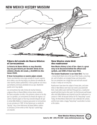

### **Pájaro del estado de Nuevo México: el correcaminos**

**La historia de Nuevo México es muy divertida: hay una gran historia por descubrir detrás de los símbolos oficiales del estado, y ALGUNOS de ellos tienen COLAS.**

### **El Gran Correcaminos es nuestro pájaro estatal.**

Tienen una divertida cresta negra azulada en la parte superior de la cabeza, una cola muy larga y sus plumas son veteadas de color marrón y blanco polvoriento. A veces puede ver una marca azul brillante y de lectura alrededor de sus ojos. Realmente puede correr muy rápido.

Los correcaminos han sido el tema de muchas historias, y algunas tribus en Nuevo México incluso tienen nombres de clanes asociados con ellos. A los primeros colonos se les dijo que si se perdían, un correcaminos los llevaría de regreso a su camino. Nuestro pájaro se hizo muy conocido después de que el artista Mike Maltese se inspirara para poner al correcaminos en una caricatura en 1949. Se hizo famoso por su sonido de "bip bip". Hoy, el tren Railrunner de Nuevo México celebra la caricatura y el tren emite un feliz "bip bip" cuando llega a la estación.

### **New Mexico state bird: the roadrunner**

**New Mexico History is lots of fun—there is a great story to be discovered behind the official state symbols, and SOME of them have TAILS.**

**The Greater Roadrunner is our State Bird.** They have a funny bluish black crest on the top of their heads, a very long tail, and its feathers are streaked brown and dusty white. You can sometimes see a bright blue and red mark around its eyes. It really can run very fast.

Roadrunners have been the subject of many tales, and some tribes in New Mexico even have clan names associated with them. Early settlers were told that if they got lost, a roadrunner would lead them back to their path. Our bird became well known after artist Mike Maltese was inspired to put the roadrunner in a cartoon in 1949. He became famous for his "beep beep" sound. Today, the New Mexico Railrunner train celebrates the cartoon, and the train makes a happy "beep beep" sound when it arrives at the station.

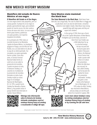### **Mamífero del estado de Nuevo México: el oso negro**

### **El Mamífero del Estado es el Oso Negro.**

Los osos negros tienen colas pequeñas, pero un cuerpo grande. El pelaje de un oso negro es peludo y generalmente negro, pero también puede ser marrón oscuro, de color canela o incluso de tonos más claros. Los osos negros tienen patas fuertes y poderosas con patas grandes y son expertos trepadores de árboles.

En la primavera de 1950, hubo un incendio forestal en las Montañas Capitán de Nuevo México. Los bomberos apagaron el fuego y uno de ellos de Taos Pueblo, vio a un osito bebé en lo alto de la copa de un árbol quemado. Fue

rescatado y sus patas quemadas fueron curadas. Unos años antes, el Servicio Forestal Nacional había hecho un cartel con un oso sobre la prevención de incendios. Cuando rescataron al osito, lo llamaron Smokey y se convirtió en el símbolo de la prevención de incendios forestales en todo el país. Smokey recibió un nuevo hogar en el Zoológico Nacional de Washington, DC. En 1976, cuando murió, Smokey fue devuelto a Nuevo México, y hoy puedes visitar el parque donde está enterrado en Capitán, Nuevo México.

**Obtenga más información sobre la historia de Smokey visitando smokeybear.com/es/ smokeys-history/story-of-smokey o escaneando el código QR aquí.**



**Learn more about Smokey's story by visiting smokeybear.com/en/ smokeys-history/story-of-smokey or by scanning the QR code here.**

Dibujo basado en el póster "Solo tú" del U.S. Forest Service Drawing based on the U.S. Forest Service "Only You" poster.

SMOKEY



### **New Mexico state mammal: the black bear**

**The State Mammal is the Black Bear.** Black bears have little tails, but a large body. The coat of a Black Bear is shaggy and usually black, but it can also be dark brown, cinnamon colored or even lighter shades. Black Bears have strong powerful legs with large paws and they are expert tree climbers. In the spring of 1950, there was a forest

fire in the Capitan Mountains of New Mexico. Firefighters put out the blaze, and one of them from Taos Pueblo saw

a little baby bear far up in a burned treetop. He was rescued and his burnt paws were healed. A few years before, the National Forest Service had made a poster with a bear on it about fire prevention. When the little bear was rescued, he was called Smokey, and he became the symbol for forest fire prevention nationwide. Smokey was given a new home at the National Zoo in Washington, DC. In 1976, when he died, Smokey was returned to New Mexico, and you today can visit the park where he is buried in Capitan, NM.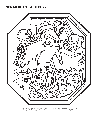# **NEW MEXICO MUSEUM OF ART**



Dibujo basado en el *Playroom Symposium* de Gustave Baumann. Antes de 1915, acuarela. Donación de Jane Baumann, 1978 (3908.23P) Drawing based on *Playroom Symposium* by Gustave Baumann. Before 1915, watercolor. Gift of Jane Baumann, 1978 (3908.23P)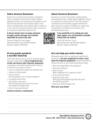### **Sobre Gustave Baumann**

Baumann fue un artista de muchos talentos, incluyendo la pintura, el grabado y la fabricación de muebles. *Playroom Symposium*, se basa en una acuarela que hizo alrededor de 1915. Años más tarde, Baumann creó marionetas talladas a mano (títeres controlados desde arriba mediante cables o cuerdas). En su vida, creó casi 70 marionetas, todas las cuales se encuentran en la colección del New Mexico Museum of Art.

#### **Si deseas intentar hacer tu propia marioneta de papel, puedes descargar una actividad imprimible de nuestro sitio web.**

Escanea el código QR o vista la pagina www.nmartmuseum.org/assets/files/Activities/ Baumann\_Puppets\_Handout.pdf

### **El arte puede ayudarte a escribir historias**

Escribir sobre obras de arte es una forma creativa de generar ideas para escribir historias. **Usa tu imaginación para escribir una historia sobre Playroom Symposium.** Las preguntas a continuación pueden ayudarte a observar el arte más de cerca y guiar tu escritura

- ¿Cual es la configuracion? ¿Dónde está sucediendo esto?
- ¿Quienes son los personajes?
- ¿Cuál es la trama? ¿Qué está pasando en este "simposio de juguetes"?
- ¿Los juguetes tienen dueño?
- ¿Qué condujo a esta escena? ¿Qué crees que pasó justo antes de esta escena? ¿Cómo llegaron los juguetes aquí?
- ¿Que crees que pasará después?

### **¡Escribe tu historia a continuación!**

## **About Gustave Baumann**

Baumann was an artist of many talents, including painting, printmaking and furniture making. *Playroom Symposium*, is based on a watercolor he made around 1915. Years later, Baumann created hand-carved marionettes (puppets controlled from above using wires or strings). In his lifetime, he created nearly 70 marionettes, all of which are in the collection at the New Mexico Museum of Art.

#### **If you would like to try making your own paper puppet, you can download a printable activity from our website.**

Scan the QR code here, or go to www.nmartmuseum.org/assets/files/Activities/ Baumann\_Puppets\_Handout.pdf

## **Art can help you write stories**

Writing about works of art is a creative way to spark ideas for writing stories. **Use your imagination to write a story about the Playroom Symposium.** The questions below can help you look at the art more closely and guide your writing.

- What is the setting? Where is this taking place?
- Who are the characters?
- What is the plot? What is happening in this "symposium of toys"?
- Do the toys have an owner?
- What led up to this scene? What do you think happened right before this scene? How did the toys get here?
- What do you think will happen next?

### **Write your story below!**

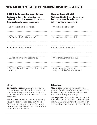# **NEW MEXICO MUSEUM OF NATURAL HISTORY & SCIENCE**

### **BINGO de Busquedad en el Bosque**

**Camina por el Bosque del Río Grande y mira cuántos elementos de la tarjeta puedes encontrar. Colorea cada cuadro cuando lo encuentres.**

### **Bosque Search BINGO**

**Walk around the Rio Grande Bosque and see how many items on the card you can find. Color in each box when you find it.**

| • ¿Cuál fue el artículo más fácil de encontrar?                                                                                                                                                                                                             | • What was the easiest item to find?                                                                                                                                                                                                  |
|-------------------------------------------------------------------------------------------------------------------------------------------------------------------------------------------------------------------------------------------------------------|---------------------------------------------------------------------------------------------------------------------------------------------------------------------------------------------------------------------------------------|
|                                                                                                                                                                                                                                                             |                                                                                                                                                                                                                                       |
| • ¿Cuál fue el artículo más difícil de encontrar?                                                                                                                                                                                                           | • What was the most difficult item to find?                                                                                                                                                                                           |
|                                                                                                                                                                                                                                                             |                                                                                                                                                                                                                                       |
| • ¿Cuál fue el artículo más interesante?                                                                                                                                                                                                                    | • What was the most interesting item?                                                                                                                                                                                                 |
|                                                                                                                                                                                                                                                             |                                                                                                                                                                                                                                       |
| · ¿Qué fue lo más sorprendente que encontraste?                                                                                                                                                                                                             | • What was most surprising thing you found?                                                                                                                                                                                           |
|                                                                                                                                                                                                                                                             |                                                                                                                                                                                                                                       |
| • ¿Encontraste algo más interesante mientras buscabas cosas<br>en tu tarjeta?                                                                                                                                                                               | • Did you find anything else interesting<br>while you were looking for things on your card?                                                                                                                                           |
|                                                                                                                                                                                                                                                             |                                                                                                                                                                                                                                       |
|                                                                                                                                                                                                                                                             |                                                                                                                                                                                                                                       |
| ¿Sabías?                                                                                                                                                                                                                                                    | Did you know?                                                                                                                                                                                                                         |
| Las hojas masticadas son en su mayoría masticadas por<br>insectos u otros artrópodos. El grupo principal de animales que<br>comen hojas en el bosque son las cochinillas y los piejos de<br>madera. ¡Estos artrópodos fueron introducidos a este ecosistema | <b>Chewed leaves</b> are mostly chewed by insects or other<br>arthropods. The major group of animals that eat leaves in the<br>bosque are pillbugs and woodlice. These arthropods were<br>introduced into this ecosystem from Europe! |
| desde Europa!                                                                                                                                                                                                                                               | <b>Star twigs:</b> Pick up a cottonwood twig from the ground and                                                                                                                                                                      |

**Ramas de estrella:** Recoge una ramita de álamo del suelo y encuentra una cicatriz de escamas de yemas terminales. Parece un anillo o collar que rodea la ramita. Corta la ramita en dos en este punto y podrás ver la forma de estrella formada por las células en el centro del tallo.

#### **Star twigs:** Pick up a cottonwood twig from the ground and find a terminal bud scale scar. It looks like a ring or collar that circles the twig. Snap the twig in two at this point and you can see the star shape formed by the cells in the center of the stem.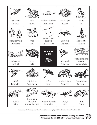| Hoja masticada<br>Chewed leaf        | Ardilla<br>Squirrel                                      | Madriguera de animales<br>Animal burrow                       | Nido de pájaro<br>Bird nest         | Hormiga<br>Ant                                             |
|--------------------------------------|----------------------------------------------------------|---------------------------------------------------------------|-------------------------------------|------------------------------------------------------------|
| Huellas de animales<br>Animal tracks | Araña<br>Spider                                          | Semillas de árbol<br>del paraíso<br>Russian olive seeds       | Saltamontes<br>Grasshopper          | Árbol de castor<br>Beaver tree                             |
| Suelo arenoso<br>Sandy soil          | Tortuga<br>Turtle                                        | <b>ESPACIO</b><br><b>LIBRE</b><br><b>FREE</b><br><b>SPACE</b> | Pájaro posado<br>Perching bird      | Huellas de escarabajos<br>de corteza<br>Bark beetle tracks |
| Colibrí<br>Hummingbird               | Hoja de álamo<br>Cottonwood leaf                         | Libélula<br>Dragonfly                                         | Conchas de cigarra<br>Cicada shells | Ganso de Canadá<br>Canada goose                            |
| Cochinilla<br>Pillbug                | Ramas de álamo<br>con estrellas<br>Cottonwood star twigs | Excremento de animales<br>Animal pellets                      | Lagartija<br>Lizard                 | Pluma<br>Feather                                           |

Dibujos de Gregory Scheib y George Mauro de *Bosque Education Guide* Drawings by Gregory Scheib and George Mauro from the *Bosque Education Guide*

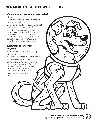# **¡Animales en el espacio ultraterrestre!**

### **¿Sabías?**

Las primeras criaturas de la Tierra que viajaron al espacio fueron las moscas de la fruta.

El primer animal que realizó un vuelo suborbital alrededor de la Tierra fue un perro ruso llamado Laika.

Otros animales que fueron al espacio antes que los humanos incluyeron un mono ardilla llamado Gordo, un mono Rhesus llamado Able y un mono ardilla llamado Baker, un chimpancé llamado HAM que fue entrenado en la Base de la Fuerza Aérea Holloman en Nuevo México y un gato francés llamado Félix.

# **Animals in outer space!**

## **Did you know?**

The very first creatures from Earth that went to space were fruit flies.

The first animal to make a suborbital flight around the Earth was a Russian dog named Laika.

Other animals that went to space before humans included a squirrel monkey named Gordo, a Rhesus monkey named Able and a squirrel monkey named Baker, a chimpanzee named HAM who was trained at Holloman Air Force Base in New Mexico, and a French cat named Felix.

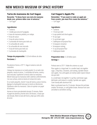## **Tarta de manzana de Carl Sagan**

**Recuerda: "Si desea hacer una tarta de manzana desde cero, primero debe crear el universo."**  — Carl Sagan

#### **Ingredientes:**

- 1 universo
- 1 molde para tarta de 9 pulgadas
- 6 tazas de manzanas peladas y en rodajas
- 3/4 taza de azúcar
- ½ taza de azúcar morena
- 2 cucharadas de harina para todo uso
- ½ cucharadita de canela
- ⅛ cucharadita de nuez moscada
- ½ taza de harina para todo uso
- 3 cucharadas de mantequilla

### **Tiempo de preparación:** 12-20 mil millones de años **Porciones:** 8

Precaliente el horno a 375° F. Haga el universo como de costumbre.

Coloque las manzanas en un tazón grande. En un tazón más pequeño, mezcle el azúcar, 2 cucharadas de harina, canela y nuez moscada. Espolvoree la mezcla sobre las manzanas. Mezcle hasta que las manzanas estén cubiertas uniformemente. Con una cuchara, vierta la mezcla en la base de la tarta.

En un tazón pequeño, mezcle ½ taza de harina y azúcar morena. Agregue la mantequilla hasta que la mezcla se desmorone. Espolvoree sobre las manzanas. Cubra sin apretar con papel de aluminio.

Hornee en horno precalentado durante 25 minutos. Retire el papel de aluminio y hornee otros 30 minutos, o hasta que este dorada. Retire la tarta del horno y deje que enfrie antes de servir.

## **Carl Sagan's Apple Pie**

**Remember: "If you want to make an apple pie from scratch, you must first create the universe."** — Carl Sagan

### **Ingredients:**

- 1 universe
- 19-inch pie shell
- 6 cups peeled and sliced apples
- ¾ cup sugar
- ½ cup brown sugar
- 2 tablespoon all-purpose flour
- ½ teaspoon cinnamon
- 1/8 teaspoon nutmeg
- ½ cup all-purpose flour
- 3 tablespoon butter

### **Preparation time:** 12-20 billion years **Servings:** 8

Preheat oven to 375° F. Make the universe as usual.

Place apples in a large bowl. In a smaller bowl, mix together sugar, 2 tbsp flour, cinnamon, and nutmeg. Sprinkle mixture over apples. Toss until apples are evenly coated. Spoon mixture into pie shell.

In a small bowl, mix together ½ cup flour and brown sugar. Add butter until mixture is crumbly. Sprinkle over apples. Cover loosely with aluminum foil.

Bake in preheated oven for 25 minutes. Remove foil and bake another 30 minutes, or until golden brown. Remove from oven and allow to cool before serving.

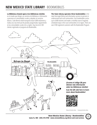#### **La Biblioteca Estatal opera tres bibliotecas móviles**

en el estado que dirigen sus servicios de biblioteca e información a personas en comunidades rurales y alejadas sin servicios básicos. Cada librería móvil transporta hasta 4,000 volúmenes y realiza una ruta mensual de paradas programadas regularmente en las comunidades rurales de su región. Hay más de 4,100 clientes registrados al programa de Bookmobile.

**The State Library operates three bookmobiles** in the state that target library and information services to persons in underserved and rural communities. Each bookmobile carries up to 4,000 volumes and makes a monthly route of regularly scheduled stops in the rural communities in its region. There are over 4100 registered customers with the Bookmobile Program.



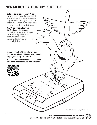# **NEW MEXICO STATE LIBRARY** · AUDIOBOOKS



para personas ciegas y con discapacidad visual, es un servicio gratuito estatal de biblioteca que proporciona libros audio digitales a ciudadanos elegibles de NM que tienen discapacidades que les impiden leer un libro estándar impreso.

#### **New Mexico State Library for the Blind and Print Disabled**

is a free library service that provides digital audio books to eligible NM citizens statewide who have disabilities that prevent them from reading a standard print book.

**¡Escanea el código QR para obtener más información sobre la Biblioteca para personas ciegas y con discapacidad visual!**

**Scan the QR code here to find out more about the Library for the Blind and Print Disabled!**



Dibujo de Berdina Nieto. Drawing by Berdina Nieto.

they

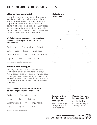# **OFFICE OF ARCHAEOLOGICAL STUDIES**

## **¿Qué es la arqueología?**

La arqueología es el estudio de los humanos anteriores y cómo vivían. La arqueología es una ciencia social interdisciplinaria estudiada por los arqueólogos. Los arqueólogos utilizan un gran conjunto de habilidades que provienen de varias disciplinas científicas y de la historia para estudiar el pasado. Los arqueólogos van a la escuela y trabajan por muchos años para adquirir estas habilidades. Muchas veces, su interest en hacer preguntas y buscar respuestas comenzó cuando eran muy jóvenes, como tú.

#### **¿Qué disciplinas de las ciencias y ciencias sociales utilizan los arqueólogos? Circula todas las que sean correctas.**

| Ciencias sociales    |           | Ciencias de clima |                       | Matemáticas             |
|----------------------|-----------|-------------------|-----------------------|-------------------------|
| Ciencias de la vida  |           | Historia          |                       | Ciencias físicas        |
| Ciencias ambientales |           | Arte              |                       | Ciencias de computación |
| Lenguaje             | Geografía |                   | Ciencias de la tierra |                         |

(Respuesta: ¡Los arqueólogos utilizan todas estas disciplinas!)

## **What is archaeology?**

Archaeology is the study of past people and how they lived. It is an interdisciplinary social science studied by archaeologists. Archaeologists use a large set of skills that come from many science disciplines and history to study the past. Archaeologists go to school and work for many years to learn these skills. Often their interest in asking questions and looking for answers started when they were young, like you.

### **What disciplines of science and social science do archaeologists use? Circle all that apply.**

| Social studies        | Climate science |     | Math             |
|-----------------------|-----------------|-----|------------------|
| Life science          | History         |     | Physical science |
| Environmental science |                 | Art | Computer science |
| Language              | Geography       |     | Earth science    |

**¡Convierte la figura de arriba en una arqueóloga(o)!**

¡Agrega cosas como ropa, equipo y dale un nombre a tu arqueóloga(o)!

#### **Make the figure above into an archaeologist!**

Add things like clothes, equipment, and give your archaeologist a name!



(Answer: Archaeologists use all these disciplines!)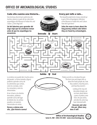# **OFFICE OF ARCHAEOLOGICAL STUDIES**

## **Cada olla cuenta una historia…**

Esta hermosa olla de barro polícroma (de muchos colores) es parte de las colecciones arqueológicas del Museum of Indian Arts and Culture. ¿Cómo llegó ahí?

#### **Sal del laberinto para aprender del largo viaje que los artefactos toman antes de que los arqueólogos los encuentren.**



**Entrada Start**

## **Every pot tells a tale…**

This beautiful polychrome (many-colored) jar is part of the archaeological collections at the Museum of Indian Arts and Culture. How did it get there?

**Solve the maze to learn about the long journey artifacts take before they are found by archaeologists.**



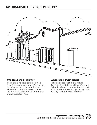# **TAYLOR-MESILLA HISTORIC PROPERTY**



### **Una casa llena de cuentos**

Taylor-Mesilla Historic Property está ubicada en Mesilla, Nuevo México. Fue donada al estado por J. Paul Taylor y Mary Daniels Taylor y su familia, ¡el hermoso edificio histórico de adobe está lleno de objetos coleccionables y bellas artes! Cada objeto en la casa de Taylor tiene un cuento que contar sobre la historia de Nuevo México.

## **A house filled with stories**

Taylor-Mesilla Historic Property is located in Mesilla, New Mexico. Donated to the state by J. Paul and Mary Daniels Taylor and their family, the beautiful historic adobe building is full of collectables and fine art! Each object in the Taylor home has a story to tell about the history of New Mexico.

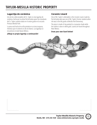# **TAYLOR-MESILLA HISTORIC PROPERTY**

## **Lagartija de cerámica**

. . . . . . . . . . . . . . . . . . .

Uno de los colleccionables del Sr. Taylor es esta lagartija de cerámica, hecha por la artista Pat Archuleta quien fue estudiante del Sr. Taylor cuando estaba en el sexton grado en la escuela Primaria Mesilla Park.

La pieza está hecha de arcilla pintada en un tono turquesa, mientras que el contorno es de oro blanco. Las lagartijas se encuentran en todo Nuevo México.

### **¡Dibuja tu propia lagartija a continuación!**

## **Ceramic Lizard**

One of Mr. Taylor's collectables is this Ceramic Lizard, made by Pat Archuleta who was one of Mr. Taylor's former students when she was in the 6th grade at Mesilla Park Elementary.

The piece is made of clay painted in a turquoise shade while the outline is done in white gold. Lizards are found throughout New Mexico.

### **Draw your own lizard below!**





. . . . . . . . . . . . . . . . . . .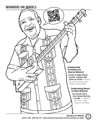

**Wonders on Wheels Santa Fe, NM · (505) 476.1171 · www.nmculture.org/museum-resources/wonders-on-wheels**

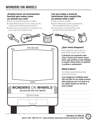### **¿Puedes hacer un instrumento musical que suene como un animal con cola?**

- **1** Reúne una variedad de materiales reciclables.
- **2** Explora diferentes formas de hacer sonidos con ellos. ¿Cuántos sonidos diferentes puedes encontrar?
- **3** ¿Puedes hacer un instrumento con el sonido que crees que es como el de un animal con cola?

### **Can you make a musical instrument that sounds like an animal with a tail?**

- **1** Gather a variety of recyclables.
- **2** Explore different ways to make sound with them. How many different sounds can you find?
- **3** Can you make an instrument with the sound you think is like an animal with a tail?



**Wonders on Wheels Santa Fe, NM · (505) 476.1171 · www.nmculture.org/museum-resources/wonders-on-wheels**

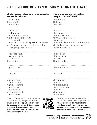# **¡RETO DIVERTIDO DE VERANO! SUMMER FUN CHALLENGE!**

### **¿Cuántas actividades de verano puedes tachar de la lista?**

Escuche un cuento. Conté un cuento. Vi una cola de un:

 $\Box$  Dibujé una cola.  $\Box$  I drew a tail. Escribí un poema.  $\Box$  I wrote a poem. Encontré una obra de arte pública.  $\Box$  I found a public artwork. I wrote and performed a play/skit.  $\square$  Escribí y presente una obra de teatro. Observe las estrellas.  $\Box$  I went stargazing. Construí y puse a prueba un avión de papel. Probé diferentes diseños.  $\Box$  I built and tested a paper airplane. I tried different designs.  $\Box$  I designed a flag that represents my family, my culture. Diseñe una bandera que represente a mi familia, mi cultura.  $\Box$  Tome un paseo por la naturaleza. Yo vi:  $\Box$  I took a nature walk. I saw:  $\square$  Busque bichos/insectos.  $\Box$  I looked for bugs. Probé una nueva receta.  $\Box$  I tried a new recipe.  $\Box$  Hice una obra arte.  $\Box$  I made art.  $\square$  Lee estos libros:  $\Box$  I read these books: Aprendí algo nuevo:  $\Box$  I learned something new: Yo descubrí:  $\Box$ I discovered:  $\Box$  I played in the park.  $\Box$  Jugué en el parque. Monté una bicicleta.  $\Box$  I rode a bike. Aprendí un baile nuevo.  $\Box$  I learned a new dance. Aprendí un nuevo ejercicio.  $\Box$  learned a new exercise. Construí un fuerte.  $\Box$ I built a fort.  $\Box$  Hice una ciudad de lodo.  $\Box$  I built a mud city. Planté una semilla.  $\Box$  I planted a seed.

¡Nos encantaría saber sobre lo que creaste! ¿Cuál fue tu actividad favorita? ¿Qué te gustaría ver en futuras actividades? **Usa el código QR para compartir tus pensamientos e ideas. Si tienes alguna pregunta o deseas compartir comentarios adicionales, envía un correo electrónico a: DCA-Education@state.nm.us**



We'd love to hear about what you created! What was your favorite activity? What would you like to see in future activities? **Use the QR Code to share your thoughts and ideas. If you have any questions or to provide additional comments, please email: DCA‑Education@state.nm.us**

**How many summer activities can you check off the list?**

 $\Box$  I listened to a tale.  $\Box$ I told a tale  $\Box$  I saw a tail of a:

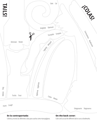

### **En la contraportada:**

Colorea y recorta las diferentes colas para usarlas como marcapáginas.

### **On the back cover:**

Color and cut out the different tails to use as bookmarks.